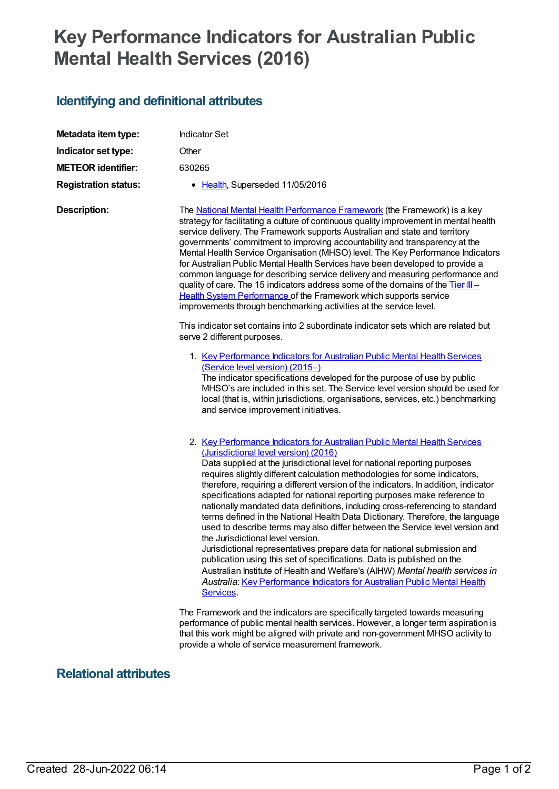## **Key Performance Indicators for Australian Public Mental Health Services (2016)**

## **Identifying and definitional attributes**

| Metadata item type:         | <b>Indicator Set</b>                                                                                                                                                                                                                                                                                                                                                                                                                                                                                                                                                                                                                                                                                                                                                                                                                                                                                                                                                                                                                                                    |
|-----------------------------|-------------------------------------------------------------------------------------------------------------------------------------------------------------------------------------------------------------------------------------------------------------------------------------------------------------------------------------------------------------------------------------------------------------------------------------------------------------------------------------------------------------------------------------------------------------------------------------------------------------------------------------------------------------------------------------------------------------------------------------------------------------------------------------------------------------------------------------------------------------------------------------------------------------------------------------------------------------------------------------------------------------------------------------------------------------------------|
| Indicator set type:         | Other                                                                                                                                                                                                                                                                                                                                                                                                                                                                                                                                                                                                                                                                                                                                                                                                                                                                                                                                                                                                                                                                   |
| <b>METEOR identifier:</b>   | 630265                                                                                                                                                                                                                                                                                                                                                                                                                                                                                                                                                                                                                                                                                                                                                                                                                                                                                                                                                                                                                                                                  |
| <b>Registration status:</b> | • Health, Superseded 11/05/2016                                                                                                                                                                                                                                                                                                                                                                                                                                                                                                                                                                                                                                                                                                                                                                                                                                                                                                                                                                                                                                         |
| <b>Description:</b>         | The <b>National Mental Health Performance Framework</b> (the Framework) is a key<br>strategy for facilitating a culture of continuous quality improvement in mental health<br>service delivery. The Framework supports Australian and state and territory<br>governments' commitment to improving accountability and transparency at the<br>Mental Health Service Organisation (MHSO) level. The Key Performance Indicators<br>for Australian Public Mental Health Services have been developed to provide a<br>common language for describing service delivery and measuring performance and<br>quality of care. The 15 indicators address some of the domains of the Tier III-<br>Health System Performance of the Framework which supports service<br>improvements through benchmarking activities at the service level.                                                                                                                                                                                                                                             |
|                             | This indicator set contains into 2 subordinate indicator sets which are related but<br>serve 2 different purposes.                                                                                                                                                                                                                                                                                                                                                                                                                                                                                                                                                                                                                                                                                                                                                                                                                                                                                                                                                      |
|                             | 1. Key Performance Indicators for Australian Public Mental Health Services<br>(Service level version) (2015-)<br>The indicator specifications developed for the purpose of use by public<br>MHSO's are included in this set. The Service level version should be used for<br>local (that is, within jurisdictions, organisations, services, etc.) benchmarking<br>and service improvement initiatives.                                                                                                                                                                                                                                                                                                                                                                                                                                                                                                                                                                                                                                                                  |
|                             | 2. Key Performance Indicators for Australian Public Mental Health Services<br>(Jurisdictional level version) (2016)<br>Data supplied at the jurisdictional level for national reporting purposes<br>requires slightly different calculation methodologies for some indicators,<br>therefore, requiring a different version of the indicators. In addition, indicator<br>specifications adapted for national reporting purposes make reference to<br>nationally mandated data definitions, including cross-referencing to standard<br>terms defined in the National Health Data Dictionary. Therefore, the language<br>used to describe terms may also differ between the Service level version and<br>the Jurisdictional level version.<br>Jurisdictional representatives prepare data for national submission and<br>publication using this set of specifications. Data is published on the<br>Australian Institute of Health and Welfare's (AIHW) Mental health services in<br>Australia: Key Performance Indicators for Australian Public Mental Health<br>Services. |
|                             | The Framework and the indicators are specifically targeted towards measuring<br>performance of public mental health services. However, a longer term aspiration is<br>that this work might be aligned with private and non-government MHSO activity to                                                                                                                                                                                                                                                                                                                                                                                                                                                                                                                                                                                                                                                                                                                                                                                                                  |

provide a whole of service measurement framework.

## **Relational attributes**